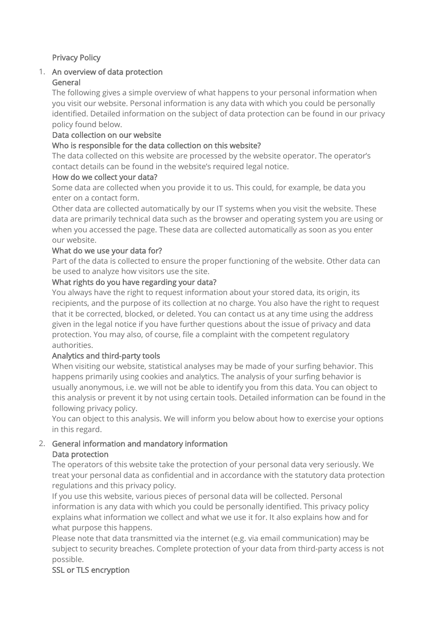## Privacy Policy

#### 1. An overview of data protection General

The following gives a simple overview of what happens to your personal information when you visit our website. Personal information is any data with which you could be personally identified. Detailed information on the subject of data protection can be found in our privacy policy found below.

## Data collection on our website

## Who is responsible for the data collection on this website?

The data collected on this website are processed by the website operator. The operator's contact details can be found in the website's required legal notice.

## How do we collect your data?

Some data are collected when you provide it to us. This could, for example, be data you enter on a contact form.

Other data are collected automatically by our IT systems when you visit the website. These data are primarily technical data such as the browser and operating system you are using or when you accessed the page. These data are collected automatically as soon as you enter our website.

## What do we use your data for?

Part of the data is collected to ensure the proper functioning of the website. Other data can be used to analyze how visitors use the site.

### What rights do you have regarding your data?

You always have the right to request information about your stored data, its origin, its recipients, and the purpose of its collection at no charge. You also have the right to request that it be corrected, blocked, or deleted. You can contact us at any time using the address given in the legal notice if you have further questions about the issue of privacy and data protection. You may also, of course, file a complaint with the competent regulatory authorities.

## Analytics and third-party tools

When visiting our website, statistical analyses may be made of your surfing behavior. This happens primarily using cookies and analytics. The analysis of your surfing behavior is usually anonymous, i.e. we will not be able to identify you from this data. You can object to this analysis or prevent it by not using certain tools. Detailed information can be found in the following privacy policy.

You can object to this analysis. We will inform you below about how to exercise your options in this regard.

### 2. General information and mandatory information Data protection

The operators of this website take the protection of your personal data very seriously. We treat your personal data as confidential and in accordance with the statutory data protection regulations and this privacy policy.

If you use this website, various pieces of personal data will be collected. Personal information is any data with which you could be personally identified. This privacy policy explains what information we collect and what we use it for. It also explains how and for what purpose this happens.

Please note that data transmitted via the internet (e.g. via email communication) may be subject to security breaches. Complete protection of your data from third-party access is not possible.

## SSL or TLS encryption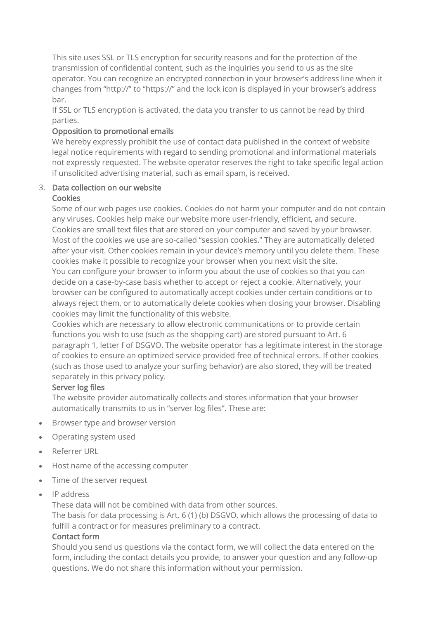This site uses SSL or TLS encryption for security reasons and for the protection of the transmission of confidential content, such as the inquiries you send to us as the site operator. You can recognize an encrypted connection in your browser's address line when it changes from "http://" to "https://" and the lock icon is displayed in your browser's address bar.

If SSL or TLS encryption is activated, the data you transfer to us cannot be read by third parties.

## Opposition to promotional emails

We hereby expressly prohibit the use of contact data published in the context of website legal notice requirements with regard to sending promotional and informational materials not expressly requested. The website operator reserves the right to take specific legal action if unsolicited advertising material, such as email spam, is received.

### 3. Data collection on our website **Cookies**

Some of our web pages use cookies. Cookies do not harm your computer and do not contain any viruses. Cookies help make our website more user-friendly, efficient, and secure. Cookies are small text files that are stored on your computer and saved by your browser. Most of the cookies we use are so-called "session cookies." They are automatically deleted after your visit. Other cookies remain in your device's memory until you delete them. These cookies make it possible to recognize your browser when you next visit the site. You can configure your browser to inform you about the use of cookies so that you can decide on a case-by-case basis whether to accept or reject a cookie. Alternatively, your browser can be configured to automatically accept cookies under certain conditions or to always reject them, or to automatically delete cookies when closing your browser. Disabling cookies may limit the functionality of this website.

Cookies which are necessary to allow electronic communications or to provide certain functions you wish to use (such as the shopping cart) are stored pursuant to Art. 6 paragraph 1, letter f of DSGVO. The website operator has a legitimate interest in the storage of cookies to ensure an optimized service provided free of technical errors. If other cookies (such as those used to analyze your surfing behavior) are also stored, they will be treated separately in this privacy policy.

## Server log files

The website provider automatically collects and stores information that your browser automatically transmits to us in "server log files". These are:

- Browser type and browser version
- Operating system used
- Referrer URL
- Host name of the accessing computer
- Time of the server request
- IP address

These data will not be combined with data from other sources.

The basis for data processing is Art. 6 (1) (b) DSGVO, which allows the processing of data to fulfill a contract or for measures preliminary to a contract.

## Contact form

Should you send us questions via the contact form, we will collect the data entered on the form, including the contact details you provide, to answer your question and any follow-up questions. We do not share this information without your permission.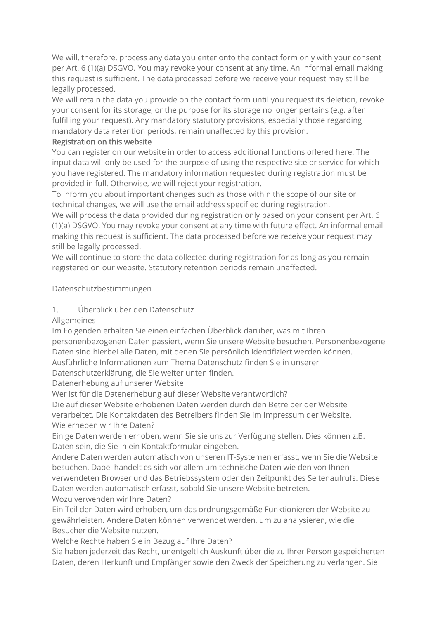We will, therefore, process any data you enter onto the contact form only with your consent per Art. 6 (1)(a) DSGVO. You may revoke your consent at any time. An informal email making this request is sufficient. The data processed before we receive your request may still be legally processed.

We will retain the data you provide on the contact form until you request its deletion, revoke your consent for its storage, or the purpose for its storage no longer pertains (e.g. after fulfilling your request). Any mandatory statutory provisions, especially those regarding mandatory data retention periods, remain unaffected by this provision.

### Registration on this website

You can register on our website in order to access additional functions offered here. The input data will only be used for the purpose of using the respective site or service for which you have registered. The mandatory information requested during registration must be provided in full. Otherwise, we will reject your registration.

To inform you about important changes such as those within the scope of our site or technical changes, we will use the email address specified during registration.

We will process the data provided during registration only based on your consent per Art. 6 (1)(a) DSGVO. You may revoke your consent at any time with future effect. An informal email making this request is sufficient. The data processed before we receive your request may still be legally processed.

We will continue to store the data collected during registration for as long as you remain registered on our website. Statutory retention periods remain unaffected.

## Datenschutzbestimmungen

## 1. Überblick über den Datenschutz

## Allgemeines

Im Folgenden erhalten Sie einen einfachen Überblick darüber, was mit Ihren personenbezogenen Daten passiert, wenn Sie unsere Website besuchen. Personenbezogene Daten sind hierbei alle Daten, mit denen Sie persönlich identifiziert werden können.

Ausführliche Informationen zum Thema Datenschutz finden Sie in unserer

Datenschutzerklärung, die Sie weiter unten finden.

Datenerhebung auf unserer Website

Wer ist für die Datenerhebung auf dieser Website verantwortlich?

Die auf dieser Website erhobenen Daten werden durch den Betreiber der Website verarbeitet. Die Kontaktdaten des Betreibers finden Sie im Impressum der Website. Wie erheben wir Ihre Daten?

Einige Daten werden erhoben, wenn Sie sie uns zur Verfügung stellen. Dies können z.B. Daten sein, die Sie in ein Kontaktformular eingeben.

Andere Daten werden automatisch von unseren IT-Systemen erfasst, wenn Sie die Website besuchen. Dabei handelt es sich vor allem um technische Daten wie den von Ihnen verwendeten Browser und das Betriebssystem oder den Zeitpunkt des Seitenaufrufs. Diese Daten werden automatisch erfasst, sobald Sie unsere Website betreten. Wozu verwenden wir Ihre Daten?

Ein Teil der Daten wird erhoben, um das ordnungsgemäße Funktionieren der Website zu gewährleisten. Andere Daten können verwendet werden, um zu analysieren, wie die Besucher die Website nutzen.

Welche Rechte haben Sie in Bezug auf Ihre Daten?

Sie haben jederzeit das Recht, unentgeltlich Auskunft über die zu Ihrer Person gespeicherten Daten, deren Herkunft und Empfänger sowie den Zweck der Speicherung zu verlangen. Sie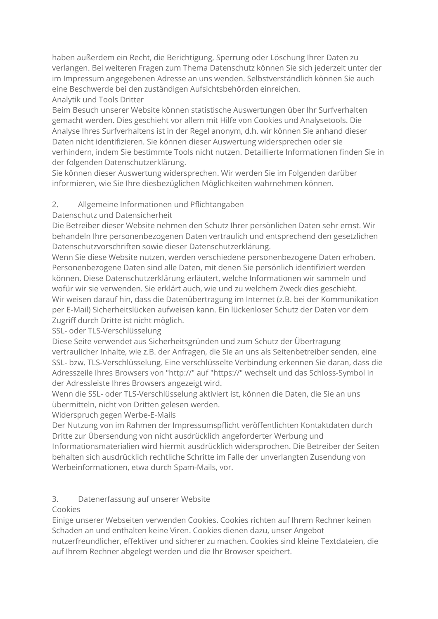haben außerdem ein Recht, die Berichtigung, Sperrung oder Löschung Ihrer Daten zu verlangen. Bei weiteren Fragen zum Thema Datenschutz können Sie sich jederzeit unter der im Impressum angegebenen Adresse an uns wenden. Selbstverständlich können Sie auch eine Beschwerde bei den zuständigen Aufsichtsbehörden einreichen. Analytik und Tools Dritter

Beim Besuch unserer Website können statistische Auswertungen über Ihr Surfverhalten gemacht werden. Dies geschieht vor allem mit Hilfe von Cookies und Analysetools. Die Analyse Ihres Surfverhaltens ist in der Regel anonym, d.h. wir können Sie anhand dieser Daten nicht identifizieren. Sie können dieser Auswertung widersprechen oder sie verhindern, indem Sie bestimmte Tools nicht nutzen. Detaillierte Informationen finden Sie in der folgenden Datenschutzerklärung.

Sie können dieser Auswertung widersprechen. Wir werden Sie im Folgenden darüber informieren, wie Sie Ihre diesbezüglichen Möglichkeiten wahrnehmen können.

## 2. Allgemeine Informationen und Pflichtangaben

## Datenschutz und Datensicherheit

Die Betreiber dieser Website nehmen den Schutz Ihrer persönlichen Daten sehr ernst. Wir behandeln Ihre personenbezogenen Daten vertraulich und entsprechend den gesetzlichen Datenschutzvorschriften sowie dieser Datenschutzerklärung.

Wenn Sie diese Website nutzen, werden verschiedene personenbezogene Daten erhoben. Personenbezogene Daten sind alle Daten, mit denen Sie persönlich identifiziert werden können. Diese Datenschutzerklärung erläutert, welche Informationen wir sammeln und wofür wir sie verwenden. Sie erklärt auch, wie und zu welchem Zweck dies geschieht. Wir weisen darauf hin, dass die Datenübertragung im Internet (z.B. bei der Kommunikation per E-Mail) Sicherheitslücken aufweisen kann. Ein lückenloser Schutz der Daten vor dem Zugriff durch Dritte ist nicht möglich.

SSL- oder TLS-Verschlüsselung

Diese Seite verwendet aus Sicherheitsgründen und zum Schutz der Übertragung vertraulicher Inhalte, wie z.B. der Anfragen, die Sie an uns als Seitenbetreiber senden, eine SSL- bzw. TLS-Verschlüsselung. Eine verschlüsselte Verbindung erkennen Sie daran, dass die Adresszeile Ihres Browsers von "http://" auf "https://" wechselt und das Schloss-Symbol in der Adressleiste Ihres Browsers angezeigt wird.

Wenn die SSL- oder TLS-Verschlüsselung aktiviert ist, können die Daten, die Sie an uns übermitteln, nicht von Dritten gelesen werden.

Widerspruch gegen Werbe-E-Mails

Der Nutzung von im Rahmen der Impressumspflicht veröffentlichten Kontaktdaten durch Dritte zur Übersendung von nicht ausdrücklich angeforderter Werbung und Informationsmaterialien wird hiermit ausdrücklich widersprochen. Die Betreiber der Seiten behalten sich ausdrücklich rechtliche Schritte im Falle der unverlangten Zusendung von Werbeinformationen, etwa durch Spam-Mails, vor.

# 3. Datenerfassung auf unserer Website

## Cookies

Einige unserer Webseiten verwenden Cookies. Cookies richten auf Ihrem Rechner keinen Schaden an und enthalten keine Viren. Cookies dienen dazu, unser Angebot nutzerfreundlicher, effektiver und sicherer zu machen. Cookies sind kleine Textdateien, die auf Ihrem Rechner abgelegt werden und die Ihr Browser speichert.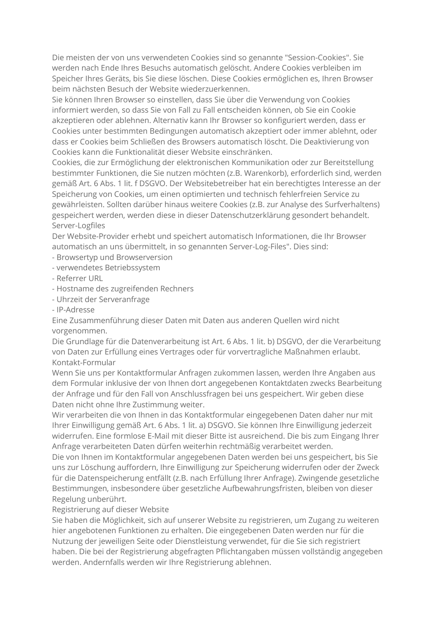Die meisten der von uns verwendeten Cookies sind so genannte "Session-Cookies". Sie werden nach Ende Ihres Besuchs automatisch gelöscht. Andere Cookies verbleiben im Speicher Ihres Geräts, bis Sie diese löschen. Diese Cookies ermöglichen es, Ihren Browser beim nächsten Besuch der Website wiederzuerkennen.

Sie können Ihren Browser so einstellen, dass Sie über die Verwendung von Cookies informiert werden, so dass Sie von Fall zu Fall entscheiden können, ob Sie ein Cookie akzeptieren oder ablehnen. Alternativ kann Ihr Browser so konfiguriert werden, dass er Cookies unter bestimmten Bedingungen automatisch akzeptiert oder immer ablehnt, oder dass er Cookies beim Schließen des Browsers automatisch löscht. Die Deaktivierung von Cookies kann die Funktionalität dieser Website einschränken.

Cookies, die zur Ermöglichung der elektronischen Kommunikation oder zur Bereitstellung bestimmter Funktionen, die Sie nutzen möchten (z.B. Warenkorb), erforderlich sind, werden gemäß Art. 6 Abs. 1 lit. f DSGVO. Der Websitebetreiber hat ein berechtigtes Interesse an der Speicherung von Cookies, um einen optimierten und technisch fehlerfreien Service zu gewährleisten. Sollten darüber hinaus weitere Cookies (z.B. zur Analyse des Surfverhaltens) gespeichert werden, werden diese in dieser Datenschutzerklärung gesondert behandelt. Server-Logfiles

Der Website-Provider erhebt und speichert automatisch Informationen, die Ihr Browser automatisch an uns übermittelt, in so genannten Server-Log-Files". Dies sind:

- Browsertyp und Browserversion
- verwendetes Betriebssystem
- Referrer URL
- Hostname des zugreifenden Rechners
- Uhrzeit der Serveranfrage
- IP-Adresse

Eine Zusammenführung dieser Daten mit Daten aus anderen Quellen wird nicht vorgenommen.

Die Grundlage für die Datenverarbeitung ist Art. 6 Abs. 1 lit. b) DSGVO, der die Verarbeitung von Daten zur Erfüllung eines Vertrages oder für vorvertragliche Maßnahmen erlaubt. Kontakt-Formular

Wenn Sie uns per Kontaktformular Anfragen zukommen lassen, werden Ihre Angaben aus dem Formular inklusive der von Ihnen dort angegebenen Kontaktdaten zwecks Bearbeitung der Anfrage und für den Fall von Anschlussfragen bei uns gespeichert. Wir geben diese Daten nicht ohne Ihre Zustimmung weiter.

Wir verarbeiten die von Ihnen in das Kontaktformular eingegebenen Daten daher nur mit Ihrer Einwilligung gemäß Art. 6 Abs. 1 lit. a) DSGVO. Sie können Ihre Einwilligung jederzeit widerrufen. Eine formlose E-Mail mit dieser Bitte ist ausreichend. Die bis zum Eingang Ihrer Anfrage verarbeiteten Daten dürfen weiterhin rechtmäßig verarbeitet werden.

Die von Ihnen im Kontaktformular angegebenen Daten werden bei uns gespeichert, bis Sie uns zur Löschung auffordern, Ihre Einwilligung zur Speicherung widerrufen oder der Zweck für die Datenspeicherung entfällt (z.B. nach Erfüllung Ihrer Anfrage). Zwingende gesetzliche Bestimmungen, insbesondere über gesetzliche Aufbewahrungsfristen, bleiben von dieser Regelung unberührt.

#### Registrierung auf dieser Website

Sie haben die Möglichkeit, sich auf unserer Website zu registrieren, um Zugang zu weiteren hier angebotenen Funktionen zu erhalten. Die eingegebenen Daten werden nur für die Nutzung der jeweiligen Seite oder Dienstleistung verwendet, für die Sie sich registriert haben. Die bei der Registrierung abgefragten Pflichtangaben müssen vollständig angegeben werden. Andernfalls werden wir Ihre Registrierung ablehnen.